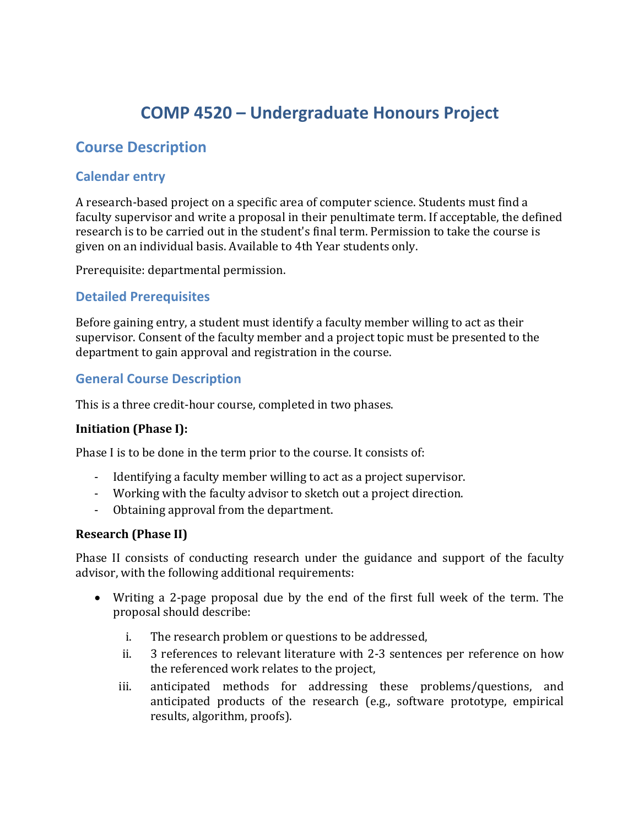# **COMP 4520 – Undergraduate Honours Project**

# **Course Description**

# **Calendar entry**

A research-based project on a specific area of computer science. Students must find a faculty supervisor and write a proposal in their penultimate term. If acceptable, the defined research is to be carried out in the student's final term. Permission to take the course is given on an individual basis. Available to 4th Year students only.

Prerequisite: departmental permission.

## **Detailed Prerequisites**

Before gaining entry, a student must identify a faculty member willing to act as their supervisor. Consent of the faculty member and a project topic must be presented to the department to gain approval and registration in the course.

## **General Course Description**

This is a three credit-hour course, completed in two phases.

#### **Initiation (Phase I):**

Phase I is to be done in the term prior to the course. It consists of:

- Identifying a faculty member willing to act as a project supervisor.
- Working with the faculty advisor to sketch out a project direction.
- Obtaining approval from the department.

#### **Research (Phase II)**

Phase II consists of conducting research under the guidance and support of the faculty advisor, with the following additional requirements:

- Writing a 2-page proposal due by the end of the first full week of the term. The proposal should describe:
	- i. The research problem or questions to be addressed,
	- ii. 3 references to relevant literature with 2-3 sentences per reference on how the referenced work relates to the project,
	- iii. anticipated methods for addressing these problems/questions, and anticipated products of the research (e.g., software prototype, empirical results, algorithm, proofs).